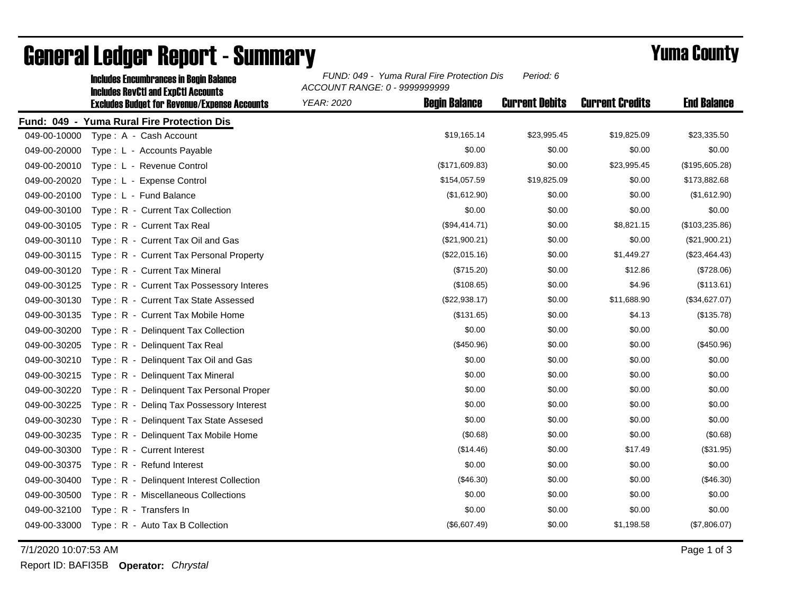|              | <b>Includes Encumbrances in Begin Balance</b><br><b>Includes RevCtI and ExpCtI Accounts</b> | FUND: 049 - Yuma Rural Fire Protection Dis<br>ACCOUNT RANGE: 0 - 9999999999 |                       |                        |                    |
|--------------|---------------------------------------------------------------------------------------------|-----------------------------------------------------------------------------|-----------------------|------------------------|--------------------|
|              | <b>Excludes Budget for Revenue/Expense Accounts</b>                                         | <b>Begin Balance</b><br><b>YEAR: 2020</b>                                   | <b>Current Debits</b> | <b>Current Credits</b> | <b>End Balance</b> |
|              | Fund: 049 - Yuma Rural Fire Protection Dis                                                  |                                                                             |                       |                        |                    |
| 049-00-10000 | Type: A - Cash Account                                                                      | \$19,165.14                                                                 | \$23,995.45           | \$19,825.09            | \$23,335.50        |
| 049-00-20000 | Type: L - Accounts Payable                                                                  | \$0.00                                                                      | \$0.00                | \$0.00                 | \$0.00             |
| 049-00-20010 | Type: L - Revenue Control                                                                   | (\$171,609.83)                                                              | \$0.00                | \$23,995.45            | (\$195,605.28)     |
| 049-00-20020 | Type: L - Expense Control                                                                   | \$154,057.59                                                                | \$19,825.09           | \$0.00                 | \$173,882.68       |
| 049-00-20100 | Type: L - Fund Balance                                                                      | (\$1,612.90)                                                                | \$0.00                | \$0.00                 | (\$1,612.90)       |
| 049-00-30100 | Type: R - Current Tax Collection                                                            | \$0.00                                                                      | \$0.00                | \$0.00                 | \$0.00             |
| 049-00-30105 | Type: R - Current Tax Real                                                                  | (\$94,414.71)                                                               | \$0.00                | \$8,821.15             | (\$103,235.86)     |
| 049-00-30110 | Type: R - Current Tax Oil and Gas                                                           | (\$21,900.21)                                                               | \$0.00                | \$0.00                 | (\$21,900.21)      |
| 049-00-30115 | Type: R - Current Tax Personal Property                                                     | (\$22,015.16)                                                               | \$0.00                | \$1,449.27             | (\$23,464.43)      |
| 049-00-30120 | Type: R - Current Tax Mineral                                                               | (\$715.20)                                                                  | \$0.00                | \$12.86                | (\$728.06)         |
| 049-00-30125 | Type: R - Current Tax Possessory Interes                                                    | (\$108.65)                                                                  | \$0.00                | \$4.96                 | (\$113.61)         |
| 049-00-30130 | Type: R - Current Tax State Assessed                                                        | (\$22,938.17)                                                               | \$0.00                | \$11,688.90            | (\$34,627.07)      |
| 049-00-30135 | Type: R - Current Tax Mobile Home                                                           | (\$131.65)                                                                  | \$0.00                | \$4.13                 | (\$135.78)         |
| 049-00-30200 | Type: R - Delinquent Tax Collection                                                         | \$0.00                                                                      | \$0.00                | \$0.00                 | \$0.00             |
| 049-00-30205 | Type: R - Delinguent Tax Real                                                               | (\$450.96)                                                                  | \$0.00                | \$0.00                 | (\$450.96)         |
| 049-00-30210 | Type: R - Delinquent Tax Oil and Gas                                                        | \$0.00                                                                      | \$0.00                | \$0.00                 | \$0.00             |
| 049-00-30215 | Type: R - Delinquent Tax Mineral                                                            | \$0.00                                                                      | \$0.00                | \$0.00                 | \$0.00             |
| 049-00-30220 | Type: R - Delinguent Tax Personal Proper                                                    | \$0.00                                                                      | \$0.00                | \$0.00                 | \$0.00             |
| 049-00-30225 | Type: R - Deling Tax Possessory Interest                                                    | \$0.00                                                                      | \$0.00                | \$0.00                 | \$0.00             |
| 049-00-30230 | Type: R - Delinquent Tax State Assesed                                                      | \$0.00                                                                      | \$0.00                | \$0.00                 | \$0.00             |
| 049-00-30235 | Type: R - Delinquent Tax Mobile Home                                                        | (\$0.68)                                                                    | \$0.00                | \$0.00                 | (\$0.68)           |
| 049-00-30300 | Type: R - Current Interest                                                                  | (\$14.46)                                                                   | \$0.00                | \$17.49                | (\$31.95)          |
| 049-00-30375 | Type: R - Refund Interest                                                                   | \$0.00                                                                      | \$0.00                | \$0.00                 | \$0.00             |
| 049-00-30400 | Type: R - Delinquent Interest Collection                                                    | (\$46.30)                                                                   | \$0.00                | \$0.00                 | (\$46.30)          |
| 049-00-30500 | Type: R - Miscellaneous Collections                                                         | \$0.00                                                                      | \$0.00                | \$0.00                 | \$0.00             |
| 049-00-32100 | Type: R - Transfers In                                                                      | \$0.00                                                                      | \$0.00                | \$0.00                 | \$0.00             |
| 049-00-33000 | Type: R - Auto Tax B Collection                                                             | (\$6,607.49)                                                                | \$0.00                | \$1,198.58             | (\$7,806.07)       |

## General Ledger Report - Summary **Example 2018** Yuma County

7/1/2020 10:07:53 AM Page 1 of 3

Report ID: BAFI35B **Operator:** *Chrystal*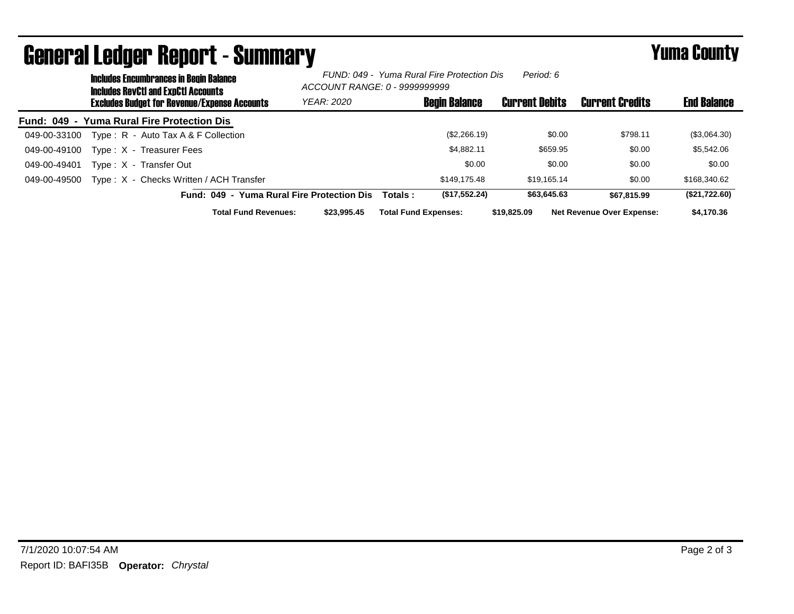|              | <b>UGHUI UI LGUYGI HOPUI LA DUIHIHUI Y</b><br><b>Includes Encumbrances in Begin Balance</b><br>Includes RevCtI and ExpCtI Accounts<br><b>Excludes Budget for Revenue/Expense Accounts</b> |                                            | FUND: 049 - Yuma Rural Fire Protection Dis<br>Period: 6<br>ACCOUNT RANGE: 0 - 9999999999 |                             |                      | . anna vvan v         |                                  |                    |
|--------------|-------------------------------------------------------------------------------------------------------------------------------------------------------------------------------------------|--------------------------------------------|------------------------------------------------------------------------------------------|-----------------------------|----------------------|-----------------------|----------------------------------|--------------------|
|              |                                                                                                                                                                                           |                                            | <b>YEAR: 2020</b>                                                                        |                             | <b>Begin Balance</b> | <b>Current Debits</b> | <b>Current Credits</b>           | <b>End Balance</b> |
|              |                                                                                                                                                                                           | Fund: 049 - Yuma Rural Fire Protection Dis |                                                                                          |                             |                      |                       |                                  |                    |
| 049-00-33100 |                                                                                                                                                                                           | Type: $R -$ Auto Tax A & F Collection      |                                                                                          |                             | (\$2,266.19)         | \$0.00                | \$798.11                         | (\$3,064.30)       |
| 049-00-49100 |                                                                                                                                                                                           | Type: X - Treasurer Fees                   |                                                                                          |                             | \$4.882.11           | \$659.95              | \$0.00                           | \$5,542.06         |
| 049-00-49401 |                                                                                                                                                                                           | Type: X - Transfer Out                     |                                                                                          |                             | \$0.00               | \$0.00                | \$0.00                           | \$0.00             |
| 049-00-49500 |                                                                                                                                                                                           | Type: X - Checks Written / ACH Transfer    |                                                                                          |                             | \$149.175.48         | \$19.165.14           | \$0.00                           | \$168,340.62       |
|              |                                                                                                                                                                                           | Fund: 049 - Yuma Rural Fire Protection Dis |                                                                                          | Totals :                    | (\$17,552.24)        | \$63,645.63           | \$67,815.99                      | (\$21,722.60)      |
|              |                                                                                                                                                                                           | <b>Total Fund Revenues:</b>                | \$23,995.45                                                                              | <b>Total Fund Expenses:</b> |                      | \$19,825.09           | <b>Net Revenue Over Expense:</b> | \$4,170.36         |

## General Ledger Report - Summary Yuma County